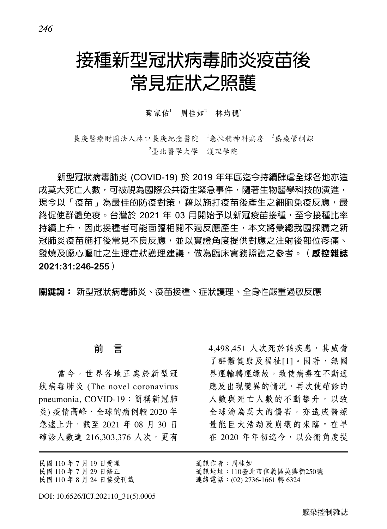# 接種新型冠狀病毒肺炎疫苗後 常見症狀之照護

# 葉家佑<sup>1</sup> 周桂如<sup>2</sup> 林均穗<sup>3</sup>

長庚醫療財團法人林口長庚紀念醫院 '急性精神科病房 '感染管制课 2 臺北醫學大學 護理學院

新型冠狀病毒肺炎 (COVID-19) 於 2019 年年底迄今持續肆虐全球各地亦造 成莫大死亡人數,可被視為國際公共衛生緊急事件,隨著生物醫學科技的演進, 現今以「疫苗」為最佳的防疫對策,藉以施打疫苗後產生之細胞免疫反應,最 終促使群體免疫。台灣於 2021 年 03 月開始予以新冠疫苗接種,至今接種比率 持續上升,因此接種者可能面臨相關不適反應產生,本文將彙總我國採購之新 冠肺炎疫苗施打後常見不良反應,並以實證角度提供對應之注射後部位疼痛、 發燒及噁心嘔吐之生理症狀護理建議,做為臨床實務照護之參考。(**感控雜誌 2021:31:246-255**)

關鍵詞: 新型冠狀病毒肺炎、疫苗接種、症狀護理、全身性嚴重過敏反應

# 前 言

當今,世界各地正處於新型冠 狀病毒肺炎 (The novel coronavirus pneumonia, COVID-19;簡稱新冠肺 炎) 疫情高峰,全球的病例較 2020年 急遽上升,截至 2021 年 08 月 30 日 確診人數達 216,303,376 人次,更有

民國 110 年 7 月 19 日受理 民國 110 年 7 月 29 日修正

民國 110 年 8 月 24 日接受刊載

4,498,451 人次死於該疾患,其威脅 了群體健康及福祉[1]。因著, 無國 界運輸轉運緣故,致使病毒在不斷適 應及出現變異的情況,再次使確診的 人數與死亡人數的不斷攀升,以致 全球淪為莫大的傷害,亦造成醫療 量能巨大浩劫及崩壞的來臨。在早 在 2020 年年初迄今,以公衛角度提

- 通訊作者:周桂如
- 通訊地址:110臺北市信義區吳興街250號

連絡電話:(02) 2736-1661 轉 6324

*246*

DOI: 10.6526/ICJ.202110\_31(5).0005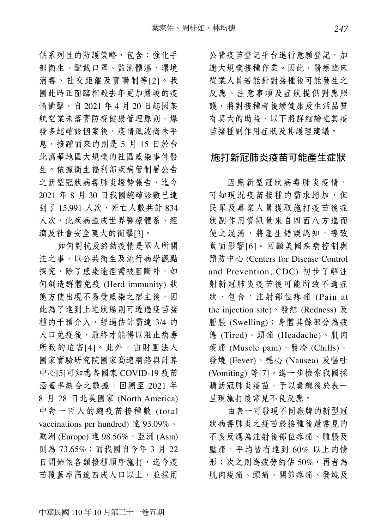供系列性的防護策略,包含:強化手 部衛生、配戴口罩、監測體溫、環境 消毒、社交距離及實聯制等[2]。我 國此時正面臨相較去年更加嚴峻的疫 情衝擊, 自 2021 年 4 月 20 日起因某 航空業未落實防疫健康管理原則,爆 發多起確診個案後,疫情風波尚未平 息,接踵而來的則是 5 月 15 日於台 北萬華地區大規模的社區感染事件發 生。依據衛生福利部疾病管制署公告 之新型冠狀病毒肺炎趨勢報告,迄今 2021 年 8 月 30 日我國總確診數已達 到了 15,991 人次,死亡人數共計 834 人次,此疾病造成世界醫療體系、經 濟及社會安全莫大的衝擊[3]。

如何對抗及終結疫情是眾人所關 注之事,以公共衛生及流行病學觀點 探究,除了感染途徑需被阻斷外,如 何創造群體免疫 (Herd immunity) 狀 態方使出現不易受感染之宿主後,因 此為了達到上述狀態則可透過疫苗接 種的干預介入,經過估計需達 3/4 的 人口免疫後,最終才能得以阻止病毒 所致的迫害[4]。此外,由財團法人 國家實驗研究院國家高速網路與計算 中心[5]可知悉各國家 COVID-19 疫苗 涵蓋率統合之數據,回溯至 2021年 8 月 28 日北美國家 (North America) 中每一百人的總疫苗接種數 (total vaccinations per hundred) 達 93.09%、 歐洲 (Europe) 達 98.56%、亞洲 (Asia) 則為 73.65%;而我國自今年 3 月 22 日開始依各類接種順序施打,迄今疫 苗覆蓋率高達四成人口以上,並採用

公費疫苗登記平台進行意願登記,加 速大規模接種作業。因此,醫療臨床 從業人員若能針對接種後可能發生之 反應、注意事項及症狀提供對應照 護,將對接種者後續健康及生活品質 有莫大的助益,以下將詳細論述其疫 苗接種副作用症狀及其護理建議。

# 施打新冠肺炎疫苗可能產生症狀

因應新型冠狀病毒肺炎疫情, 可知現況疫苗接種的需求增加,但 民眾及專業人員獲取施打疫苗後症 狀副作用資訊量來自四面八方進而 使之混淆,將產生錯誤認知,導致 負面影響[6]。回顧美國疾病控制與 預防中心 (Centers for Disease Control and Prevention, CDC) 初步了解注 射新冠肺炎疫苗後可能所致不適症 狀, 包含: 注射部位疼痛 (Pain at the injection site)、發紅 (Redness) 及 腫脹 (Swelling);身體其餘部分為疲 倦 (Tired)、頭痛 (Headache)、肌肉 痠痛 (Muscle pain)、發冷 (Chills)、 發燒 (Fever)、噁心 (Nausea) 及嘔吐 (Vomiting) 等[7]。進一步檢索我國採 購新冠肺炎疫苗,予以彙總後於表一 呈現施打後常見不良反應。

由表一可發現不同廠牌的新型冠 狀病毒肺炎之疫苗於接種後最常見的 不良反應為注射後部位疼痛、腫脹及 壓痛,平均皆有達到 60% 以上的情 形;次之則為疲勞約佔 50%,再者為 肌肉痠痛、頭痛、關節疼痛、發燒及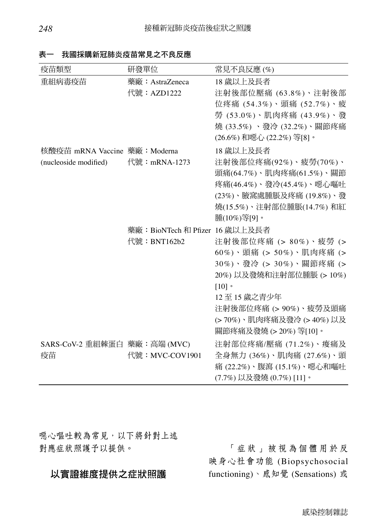| 疫苗類型                         | 研發單位                            | 常見不良反應(%)                  |
|------------------------------|---------------------------------|----------------------------|
| 重組病毒疫苗                       | 藥廠: AstraZeneca                 | 18 歲以上及長者                  |
|                              | 代號: AZD1222                     | 注射後部位壓痛 (63.8%)、注射後部       |
|                              |                                 | 位疼痛 (54.3%)、頭痛 (52.7%)、疲   |
|                              |                                 | 勞 (53.0%)、肌肉疼痛 (43.9%)、發   |
|                              |                                 | 燒 (33.5%) 、發冷 (32.2%)、關節疼痛 |
|                              |                                 | (26.6%)和噁心 (22.2%) 等[8]。   |
| 核酸疫苗 mRNA Vaccine 藥廠:Moderna |                                 | 18 歲以上及長者                  |
| (nucleoside modified)        | 代號: mRNA-1273                   | 注射後部位疼痛(92%)、疲勞(70%)、      |
|                              |                                 | 頭痛(64.7%)、肌肉疼痛(61.5%)、關節   |
|                              |                                 | 疼痛(46.4%)、發冷(45.4%)、噁心嘔吐   |
|                              |                                 | (23%)、腋窩處腫脹及疼痛 (19.8%)、發   |
|                              |                                 | 燒(15.5%)、注射部位腫脹(14.7%) 和紅  |
|                              |                                 | 腫(10%)等[9]。                |
|                              | 藥廠: BioNTech 和 Pfizer 16 歲以上及長者 |                            |
|                              | 代號: BNT162b2                    | 注射後部位疼痛 (> 80%)、疲勞 (>      |
|                              |                                 | 60%)、頭痛 (> 50%)、肌肉疼痛 (>    |
|                              |                                 | 30%)、發冷 (> 30%)、關節疼痛 (>    |
|                              |                                 | 20%) 以及發燒和注射部位腫脹 (> 10%)   |
|                              |                                 | [10]<br>12至15 歲之青少年        |
|                              |                                 | 注射後部位疼痛 (> 90%)、疲勞及頭痛      |
|                              |                                 | (> 70%)、肌肉疼痛及發冷 (> 40%) 以及 |
|                              |                                 | 關節疼痛及發燒 (> 20%) 等[10]。     |
| SARS-CoV-2 重組棘蛋白 藥廠:高端 (MVC) |                                 | 注射部位疼痛/壓痛 (71.2%)、痠痛及      |
| 疫苗                           | 代號: MVC-COV1901                 | 全身無力 (36%)、肌肉痛 (27.6%)、頭   |
|                              |                                 | 痛 (22.2%)、腹瀉 (15.1%)、噁心和嘔吐 |
|                              |                                 | (7.7%) 以及發燒 (0.7%) [11]。   |

表一 我國採購新冠肺炎疫苗常見之不良反應

噁心嘔吐較為常見,以下將針對上述 對應症狀照護予以提供。

# 以實證維度提供之症狀照護

「症狀」被視為個體用於反 映身心社會功能 (Biopsychosocial functioning)、感知覺 (Sensations) 或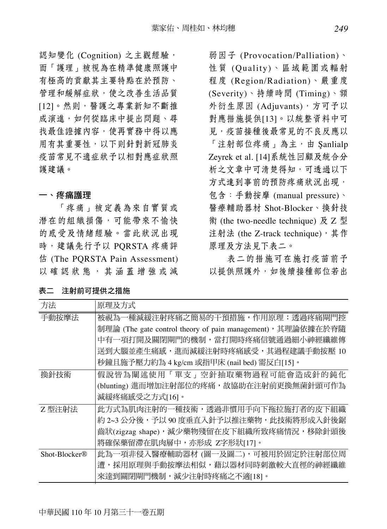認知變化 (Cognition) 之主觀經驗, 而「護理」被視為在精準健康照護中 有極高的貢獻其主要特點在於預防、 管理和緩解症狀,使之改善生活品質 [12]。然則,醫護之專業新知不斷推 成演進,如何從臨床中提出問題、尋 找最佳證據內容,使再實務中得以應 用有其重要性,以下則針對新冠肺炎 疫苗常見不適症狀予以相對應症狀照 護建議。

#### 一、疼痛護理

「疼痛」被定義為來自實質或 潛在的組織損傷,可能帶來不愉快 的感受及情緒經驗。當此狀況出現 時,建議先行予以 PQRSTA 疼痛評 估 (The PQRSTA Pain Assessment) 以確認狀態,其涵蓋增強或減

弱因子 (Provocation/Palliation)、 性質 (Quality)、區域範圍或輻射 程度 (Region/Radiation)、嚴重度 (Severity)、持續時間 (Timing)、額 外衍生原因 (Adjuvants), 方可予以 對應措施提供[13]。以統整資料中可 見,疫苗接種後最常見的不良反應以 「注射部位疼痛」為主,由 Şanlialp Zeyrek et al. [14]系統性回顧及統合分 析之文章中可清楚得知,可透過以下 方式達到事前的預防疼痛狀況出現, 包含:手動按摩 (manual pressure)、 醫療輔助器材 Shot-Blocker、換針技 術 (the two-needle technique) 及 Z 型 注射法 (the Z-track technique), 其作 原理及方法見下表二。

表二的措施可在施打疫苗前予 以提供照護外,如後續接種部位若出

| 原理及方式                                                       |
|-------------------------------------------------------------|
| 被視為一種減緩注射疼痛之簡易的干預措施,作用原理:透過疼痛閘門控                            |
| 制理論 (The gate control theory of pain management), 其理論依據在於脊隨 |
| 中有一項打開及關閉閘門的機制,當打開時疼痛信號通過細小神經纖維傳                            |
| 送到大腦並產生痛感,進而減緩注射時疼痛感受,其過程建議手動按壓 10                          |
| 秒鐘且施予壓力約為 4 kg/cm 或指甲床 (nail bed) 需反白[15]。                  |
| 假說皆為闡述使用「單支」空針抽取藥物過程可能會造成針的鈍化                               |
| (blunting) 進而增加注射部位的疼痛,故協助在注射前更換無菌針頭可作為                     |
| 減緩疼痛感受之方式[16]。                                              |
| 此方式為肌肉注射的一種技術,透過非慣用手向下拖拉施打者的皮下組織                            |
| 約 2~3 公分後,予以 90 度垂直入針予以推注藥物,此技術將形成入針後鋸                      |
| 齒狀(zigzag shape),減少藥物殘留在皮下組織所致疼痛情況,移除針頭後                    |
| 將確保藥留滯在肌肉層中,亦形成 Z字形狀[17]。                                   |
| 此為一項非侵入醫療輔助器材 (圖一及圖二),可被用於固定於注射部位周                          |
| 遭,採用原理與手動按摩法相似,藉以器材同時刺激較大直徑的神經纖維                            |
| 來達到關閉閘門機制,減少注射時疼痛之不適[18]。                                   |
|                                                             |

#### 表二 注射前可提供之措施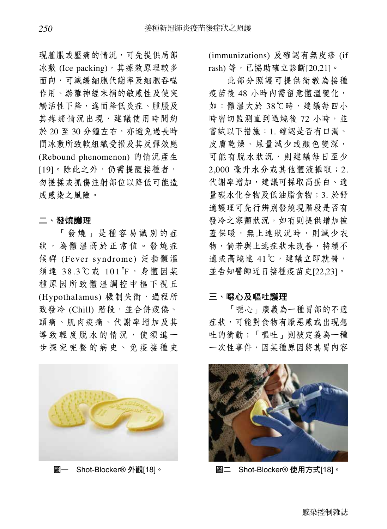現腫脹或壓痛的情況,可先提供局部 冰敷 (Ice packing), 其療效原理較多 面向,可減緩細胞代謝率及細胞吞噬 作用、游離神經末梢的敏感性及使突 觸活性下降,進而降低炎症、腫脹及 其疼痛情況出現,建議使用時間約 於 20 至 30 分鐘左右,亦避免過長時 間冰敷所致軟組織受損及其反彈效應 (Rebound phenomenon) 的情況產生 [19]。除此之外,仍需提醒接種者, 勿搓揉或抓傷注射部位以降低可能造 成感染之風險。

#### 二、發燒護理

「發燒」是種容易識別的症 狀,為體溫高於正常值。發燒症 候群 (Fever syndrome) 泛指體溫 須達 38.3℃或 101℉,身體因某 種原因所致體溫調控中樞下視丘 (Hypothalamus) 機制失衡, 過程所 致發冷 (Chill) 階段,並合併疲倦、 頭痛、肌肉痠痛、代謝率增加及其 導致輕度脫水的情況,使須進一 步探究完整的病史、免疫接種史



(immunizations) 及確認有無皮疹 (if rash) 等,已協助確立診斷[20,21]。

此部分照護可提供衛教為接種 疫苗後 48 小時內需留意體溫變化, 如:體溫大於 38℃時,建議每四小 時密切監測直到退燒後 72 小時,並 嘗試以下措施:1. 確認是否有口渴、 皮膚乾燥、尿量減少或顏色變深, 可能有脫水狀況,則建議每日至少 2,000 毫升水分或其他體液攝取;2. 代謝率增加,建議可採取高蛋白、適 量碳水化合物及低油脂食物;3. 於舒 適護理可先行辨別發燒現階段是否有 發冷之寒顫狀況,如有則提供增加被 蓋保暖,無上述狀況時,則減少衣 物,倘若與上述症狀未改善,持續不 適或高燒達 41℃,建議立即就醫, 並告知醫師近日接種疫苗史[22,23]。

#### 三、噁心及嘔吐護理

「噁心」廣義為一種胃部的不適 症狀,可能對食物有厭惡感或出現想 吐的衝動;「嘔吐」則被定義為一種 一次性事件,因某種原因將其胃內容



圖一 Shot-Blocker® 外觀[18]。 圖二 Shot-Blocker® 使用方式[18]。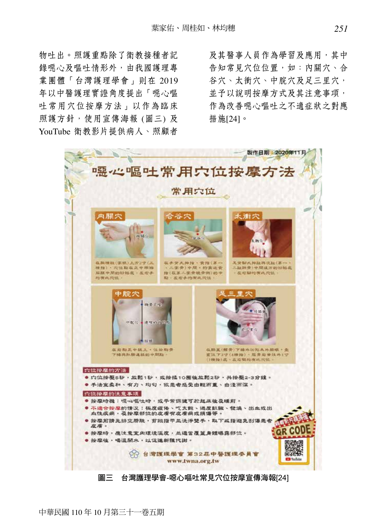物吐出。照護重點除了衛教接種者記 錄噁心及嘔吐情形外,由我國護理專 業團體「台灣護理學會」則在 2019 年以中醫護理實證角度提出「噁心嘔 吐常用穴位按摩方法」以作為臨床 照護方針,使用宣傳海報 (圖三)及 YouTube 衛教影片提供病人、照顧者

及其醫事人員作為學習及應用,其中 告知常見穴位位置,如:內關穴、合 谷穴、太衝穴、中脘穴及足三里穴, 並予以說明按摩方式及其注意事項, 作為改善噁心嘔吐之不適症狀之對應 措施[24]。



圖三 台灣護理學會-噁心嘔吐常見穴位按摩宣傳海報[24]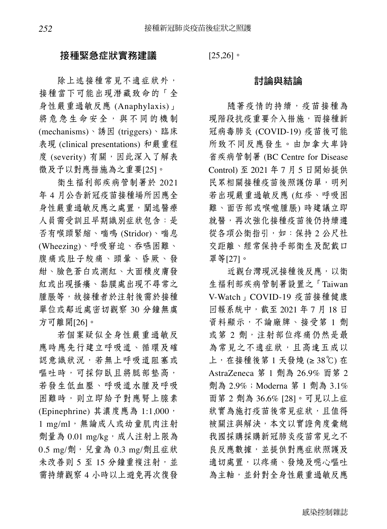### 接種緊急症狀實務建議

除上述接種常見不適症狀外, 接種當下可能出現潛藏致命的「全 身性嚴重過敏反應 (Anaphylaxis)」 將危急生命安全,與不同的機制 (mechanisms)、誘因 (triggers)、臨床 表現 (clinical presentations) 和嚴重程 度 (severity) 有關, 因此深入了解表 徵及予以對應措施為之重要[25]。

衛生福利部疾病管制署於 2021 年 4 月公告新冠疫苗接種場所因應全 身性嚴重過敏反應之處置,闡述醫療 人員需受訓且早期識別症狀包含:是 否有喉頭緊縮、喘鳴 (Stridor)、喘息 (Wheezing)、呼吸窘迫、吞嚥困難、 腹痛或肚子絞痛、頭暈、昏厥、發 紺、臉色蒼白或潮紅、大面積皮膚發 紅或出現搔癢、黏膜處出現不尋常之 腫脹等,故接種者於注射後需於接種 單位或鄰近處密切觀察 30 分鐘無虞 方可離開[26]。

若個案疑似全身性嚴重過敏反 應時應先行建立呼吸道、循環及確 認意識狀況,若無上呼吸道阻塞或 嘔吐時,可採仰臥且將腿部墊高, 若發生低血壓、呼吸道水腫及呼吸 困難時,則立即給予對應腎上腺素 (Epinephrine) 其濃度應為 1:1,000, 1 mg/ml,無論成人或幼童肌肉注射 劑量為 0.01 mg/kg,成人注射上限為 0.5 mg/劑,兒童為 0.3 mg/劑且症狀 未改善則 5 至 15 分鐘重複注射,並 需持續觀察 4 小時以上避免再次復發  $[25,26]$ 

# 討論與結論

隨著疫情的持續,疫苗接種為 現階段抗疫重要介入措施,而接種新 冠病毒肺炎 (COVID-19) 疫苗後可能 所致不同反應發生。由加拿大卑詩 省疾病管制署 (BC Centre for Disease Control) 至 2021 年 7 月 5 日開始提供 民眾相關接種疫苗後照護仿單,明列 若出現嚴重過敏反應 (紅疹、呼吸困 難、面舌部或喉嚨腫脹) 時建議立即 就醫,再次強化接種疫苗後仍持續遵 從各項公衛指引, 如: 保持 2 公尺社 交距離、經常保持手部衛生及配戴口 罩等[27]。

近觀台灣現況接種後反應,以衛 生福利部疾病管制署設置之「Taiwan V-Watch」COVID-19 疫苗接種健康 回報系統中,截至 2021 年 7 月 18 日 資料顯示,不論廠牌、接受第 1 劑 或第 2 劑,注射部位疼痛仍然是最 為常見之不適症狀,且高達五成以 上,在接種後第 1 天發燒 (≥ 38℃) 在 AstraZeneca 第 1 劑為 26.9% 而第 2 劑為 2.9%;Moderna 第 1 劑為 3.1% 而第 2 劑為 36.6% [28]。可見以上症 狀實為施打疫苗後常見症狀,且值得 被關注與解決,本文以實證角度彙總 我國採購採購新冠肺炎疫苗常見之不 良反應數據,並提供對應症狀照護及 適切處置,以疼痛、發燒及噁心嘔吐 為主軸,並針對全身性嚴重過敏反應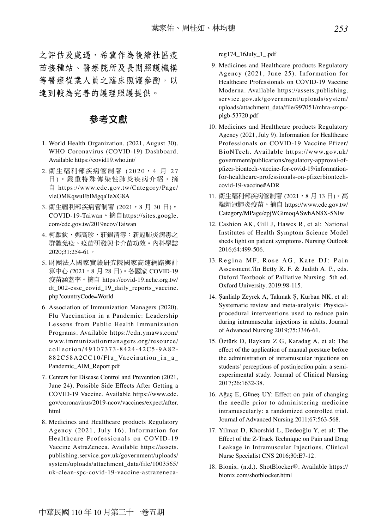之評估及處遇,希冀作為後續社區疫 苗接種站、醫療院所及長期照護機構 等醫療從業人員之臨床照護參酌,以 達到較為完善的護理照護提供。

# 參考文獻

- 1. World Health Organization. (2021, August 30). WHO Coronavirus (COVID-19) Dashboard. Available https://covid19.who.int/
- 2. 衛生福利部疾病管制署 (2020, 4 月 27 日 ) 。嚴重特殊傳染性肺炎疾病介紹。摘 自 https://www.cdc.gov.tw/Category/Page/ vleOMKqwuEbIMgqaTeXG8A
- 3. 衛生福利部疾病管制署 (2021,8 月 30 日)。 COVID-19-Taiwan。摘自https://sites.google. com/cdc.gov.tw/2019ncov/Taiwan
- 4. 柯獻欽,鄭高珍,莊銀清等:新冠肺炎病毒之 群體免疫、疫苗研發與卡介苗功效。內科學誌 2020;31:254-61。
- 5. 財團法人國家實驗研究院國家高速網路與計 算中心 (2021,8月 28 日)。各國家 COVID-19 疫苗涵蓋率。摘自 https://covid-19.nchc.org.tw/ dt\_002-csse\_covid\_19\_daily\_reports\_vaccine. php?countryCode=World
- 6. Association of Immunization Managers (2020). Flu Vaccination in a Pandemic: Leadership Lessons from Public Health Immunization Programs. Available https://cdn.ymaws.com/ www.immunizationmanagers.org/resource/ collection/49107373-8424-42C5-9A82- 882C58A2CC10/Flu\_Vaccination\_in\_a\_ Pandemic\_AIM\_Report.pdf
- 7. Centers for Disease Control and Prevention (2021, June 24). Possible Side Effects After Getting a COVID-19 Vaccine. Available https://www.cdc. gov/coronavirus/2019-ncov/vaccines/expect/after. html
- 8. Medicines and Healthcare products Regulatory Agency (2021, July 16). Information for Healthcare Professionals on COVID-19 Vaccine AstraZeneca. Available https://assets. publishing.service.gov.uk/government/uploads/ system/uploads/attachment\_data/file/1003565/ uk-clean-spc-covid-19-vaccine-astrazeneca-

reg174\_16July\_1\_.pdf

- 9. Medicines and Healthcare products Regulatory Agency (2021, June 25). Information for Healthcare Professionals on COVID-19 Vaccine Moderna. Available https://assets.publishing. service.gov.uk/government/uploads/system/ uploads/attachment\_data/file/997051/mhra-smpcplgb-53720.pdf
- 10. Medicines and Healthcare products Regulatory Agency (2021, July 9). Information for Healthcare Professionals on COVID-19 Vaccine Pfizer/ BioNTech. Available https://www.gov.uk/ government/publications/regulatory-approval-ofpfizer-biontech-vaccine-for-covid-19/informationfor-healthcare-professionals-on-pfizerbiontechcovid-19-vaccine#ADR
- 11. 衛生福利部疾病管制署 (2021,8 月 13 日)。高 端新冠肺炎疫苗。摘自 https://www.cdc.gov.tw/ Category/MPage/epjWGimoqASwhAN8X-5Nlw
- 12. Cashion AK, Gill J, Hawes R, et al: National Institutes of Health Symptom Science Model sheds light on patient symptoms. Nursing Outlook 2016;64:499-506.
- 13. Regina MF, Rose AG, Kate DJ: Pain Assessment.?In Betty R. F. & Judith A. P., eds. Oxford Textbook of Palliative Nursing. 5th ed. Oxford University. 2019:98-115.
- 14. Şanlialp Zeyrek A, Takmak Ş, Kurban NK, et al: Systematic review and meta-analysis: Physicalprocedural interventions used to reduce pain during intramuscular injections in adults. Journal of Advanced Nursing 2019;75:3346-61.
- 15. Öztürk D, Baykara Z G, Karadag A, et al: The effect of the application of manual pressure before the administration of intramuscular injections on students' perceptions of postinjection pain: a semiexperimental study. Journal of Clinical Nursing 2017;26:1632-38.
- 16. Ağaç E, Güneş UY: Effect on pain of changing the needle prior to administering medicine intramuscularly: a randomized controlled trial. Journal of Advanced Nursing 2011;67:563-568.
- 17. Yilmaz D, Khorshid L, Dedeoğlu Y, et al: The Effect of the Z-Track Technique on Pain and Drug Leakage in Intramuscular Injections. Clinical Nurse Specialist CNS 2016;30:E7-12.
- 18. Bionix. (n.d.). ShotBlocker®. Available https:// bionix.com/shotblocker.html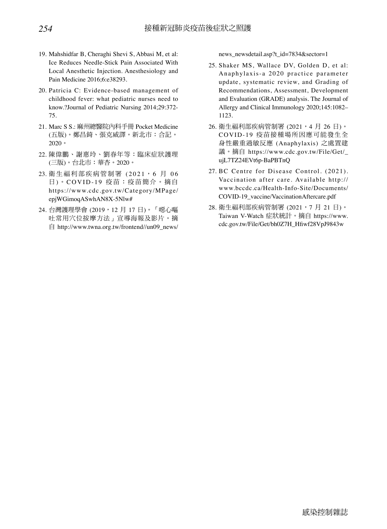- 19. Mahshidfar B, Cheraghi Shevi S, Abbasi M, et al: Ice Reduces Needle-Stick Pain Associated With Local Anesthetic Injection. Anesthesiology and Pain Medicine 2016;6:e38293.
- 20. Patricia C: Evidence-based management of childhood fever: what pediatric nurses need to know.?Journal of Pediatric Nursing 2014;29:372- 75.
- 21. Marc S S.: 麻州總醫院內科手冊 Pocket Medicine (五版)。鄭昌錡、張克威譯。新北市:合記。 2020。
- 22. 陳偉鵬、謝惠玲、劉春年等:臨床症狀護理 (三版)。台北市:華杏。2020。
- 23. 衛生福利部疾病管制署 (2021,6 月 06 日)。COVID-19 疫苗:疫苗簡介。摘自 https://www.cdc.gov.tw/Category/MPage/ epjWGimoqASwhAN8X-5Nlw#
- 24. 台灣護理學會 (2019, 12月 17日)。「噁心嘔 吐常用穴位按摩方法」宣導海報及影片。摘 自 http://www.twna.org.tw/frontend//un09\_news/

news\_newsdetail.asp?t\_id=7834&sector=1

- 25. Shaker MS, Wallace DV, Golden D, et al: Anaphylaxis-a 2020 practice parameter update, systematic review, and Grading of Recommendations, Assessment, Development and Evaluation (GRADE) analysis. The Journal of Allergy and Clinical Immunology 2020;145:1082– 1123.
- 26. 衛生福利部疾病管制署 (2021,4 月 26 日)。 COVID-19 疫苗接種場所因應可能發生全 身性嚴重過敏反應 (Anaphylaxis) 之處置建 議。摘自 https://www.cdc.gov.tw/File/Get/\_ ujL7TZ24EVt6p-BaPBTnQ
- 27. BC Centre for Disease Control. (2021). Vaccination after care. Available http:// www.bccdc.ca/Health-Info-Site/Documents/ COVID-19\_vaccine/VaccinationAftercare.pdf
- 28. 衛生福利部疾病管制署 (2021,7 月 21 日)。 Taiwan V-Watch 症狀統計。摘自 https://www. cdc.gov.tw/File/Get/bh0Z7H\_Hfiwf28VpJ9843w